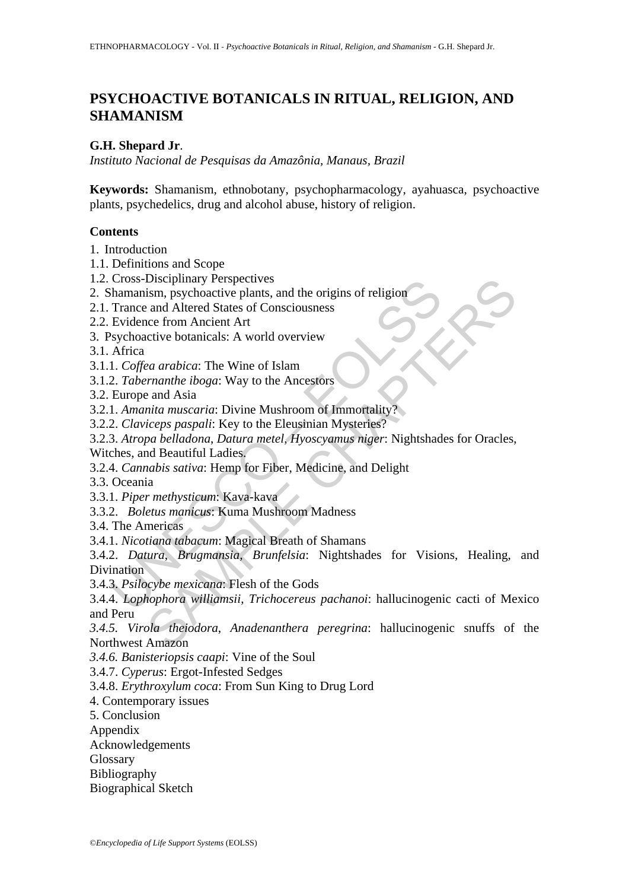# **PSYCHOACTIVE BOTANICALS IN RITUAL, RELIGION, AND SHAMANISM**

## **G.H. Shepard Jr**.

*Instituto Nacional de Pesquisas da Amazônia, Manaus, Brazil*

**Keywords:** Shamanism, ethnobotany, psychopharmacology, ayahuasca, psychoactive plants, psychedelics, drug and alcohol abuse, history of religion.

## **Contents**

1. Introduction

- 1.1. Definitions and Scope
- 1.2. Cross-Disciplinary Perspectives
- 2. Shamanism, psychoactive plants, and the origins of religion
- 2.1. Trance and Altered States of Consciousness
- 2.2. Evidence from Ancient Art
- 3. Psychoactive botanicals: A world overview

3.1. Africa

- 3.1.1. *Coffea arabica*: The Wine of Islam
- 3.1.2. *Tabernanthe iboga*: Way to the Ancestors

3.2. Europe and Asia

3.2.1. *Amanita muscaria*: Divine Mushroom of Immortality?

3.2.2. *Claviceps paspali*: Key to the Eleusinian Mysteries?

3.2.3. *Atropa belladona*, *Datura metel*, *Hyoscyamus niger*: Nightshades for Oracles,

Witches, and Beautiful Ladies.

3.2.4. *Cannabis sativa*: Hemp for Fiber, Medicine, and Delight

3.3. Oceania

3.3.1. *Piper methysticum*: Kava-kava

3.3.2. *Boletus manicus*: Kuma Mushroom Madness

3.4. The Americas

3.4.1. *Nicotiana tabacum*: Magical Breath of Shamans

Cross-Disciplinary Perspectives<br>
hamanism, psychoactive plants, and the origins of religion<br>
hamanism, psychoactive plants, and the origins of religion<br>
Trance and Altered States of Consciousness<br>
Evidence from Ancient Art Discriptinary Perspectives<br>
isin, psychoactive plants, and the origins of religion<br>
and Altered States of Consciousness<br>
ice from Ancient Art<br>
ea arabica: The Wine of Islam<br> *ea arabica*: The Wine of Islam<br> *ea arabica*: T 3.4.2. *Datura*, *Brugmansia, Brunfelsia*: Nightshades for Visions, Healing, and Divination

3.4.3. *Psilocybe mexicana*: Flesh of the Gods

3.4.4. *Lophophora williamsii*, *Trichocereus pachanoi*: hallucinogenic cacti of Mexico and Peru

*3.4.5. Virola theiodora*, *Anadenanthera peregrina*: hallucinogenic snuffs of the Northwest Amazon

*3.4.6. Banisteriopsis caapi*: Vine of the Soul

3.4.7. *Cyperus*: Ergot-Infested Sedges

3.4.8. *Erythroxylum coca*: From Sun King to Drug Lord

4. Contemporary issues

5. Conclusion

Appendix

Acknowledgements

**Glossary** 

Bibliography

Biographical Sketch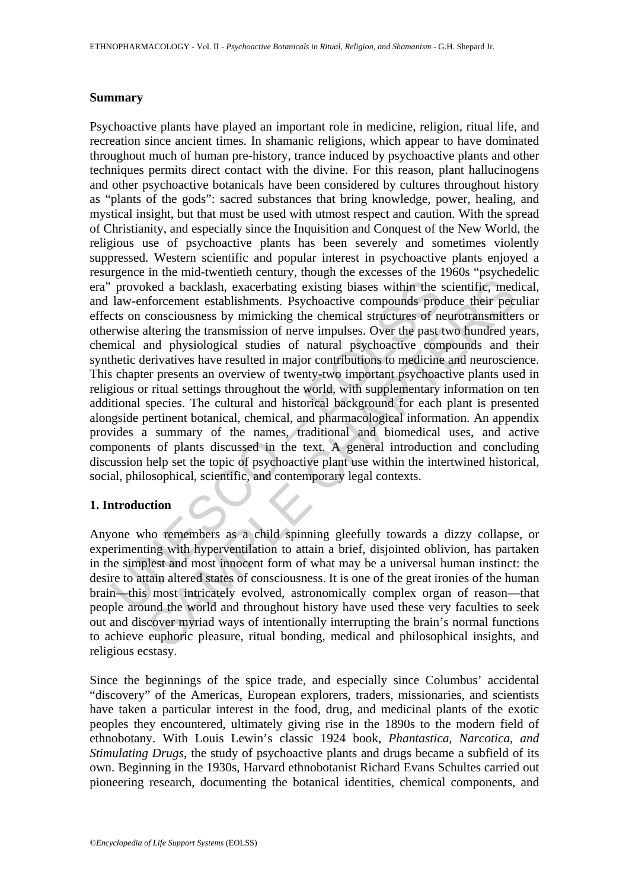#### **Summary**

provoked a backlash, exacerbating existing biases within the s<br>law-enforcement establishments. Psychoactive compounds process on consciousness by mimicking the chemical structures of new<br>twise altering the transmission of ked a backlash, exacerbating existing biases within the scientific, med<br>forcement establishments. Psychoactive compounds produce their pectonsciousness by mimicking the chemical structures of neurotransmitter<br>altering the Psychoactive plants have played an important role in medicine, religion, ritual life, and recreation since ancient times. In shamanic religions, which appear to have dominated throughout much of human pre-history, trance induced by psychoactive plants and other techniques permits direct contact with the divine. For this reason, plant hallucinogens and other psychoactive botanicals have been considered by cultures throughout history as "plants of the gods": sacred substances that bring knowledge, power, healing, and mystical insight, but that must be used with utmost respect and caution. With the spread of Christianity, and especially since the Inquisition and Conquest of the New World, the religious use of psychoactive plants has been severely and sometimes violently suppressed. Western scientific and popular interest in psychoactive plants enjoyed a resurgence in the mid-twentieth century, though the excesses of the 1960s "psychedelic era" provoked a backlash, exacerbating existing biases within the scientific, medical, and law-enforcement establishments. Psychoactive compounds produce their peculiar effects on consciousness by mimicking the chemical structures of neurotransmitters or otherwise altering the transmission of nerve impulses. Over the past two hundred years, chemical and physiological studies of natural psychoactive compounds and their synthetic derivatives have resulted in major contributions to medicine and neuroscience. This chapter presents an overview of twenty-two important psychoactive plants used in religious or ritual settings throughout the world, with supplementary information on ten additional species. The cultural and historical background for each plant is presented alongside pertinent botanical, chemical, and pharmacological information. An appendix provides a summary of the names, traditional and biomedical uses, and active components of plants discussed in the text. A general introduction and concluding discussion help set the topic of psychoactive plant use within the intertwined historical, social, philosophical, scientific, and contemporary legal contexts.

### **1. Introduction**

Anyone who remembers as a child spinning gleefully towards a dizzy collapse, or experimenting with hyperventilation to attain a brief, disjointed oblivion, has partaken in the simplest and most innocent form of what may be a universal human instinct: the desire to attain altered states of consciousness. It is one of the great ironies of the human brain—this most intricately evolved, astronomically complex organ of reason—that people around the world and throughout history have used these very faculties to seek out and discover myriad ways of intentionally interrupting the brain's normal functions to achieve euphoric pleasure, ritual bonding, medical and philosophical insights, and religious ecstasy.

Since the beginnings of the spice trade, and especially since Columbus' accidental "discovery" of the Americas, European explorers, traders, missionaries, and scientists have taken a particular interest in the food, drug, and medicinal plants of the exotic peoples they encountered, ultimately giving rise in the 1890s to the modern field of ethnobotany. With Louis Lewin's classic 1924 book, *Phantastica, Narcotica, and Stimulating Drugs*, the study of psychoactive plants and drugs became a subfield of its own. Beginning in the 1930s, Harvard ethnobotanist Richard Evans Schultes carried out pioneering research, documenting the botanical identities, chemical components, and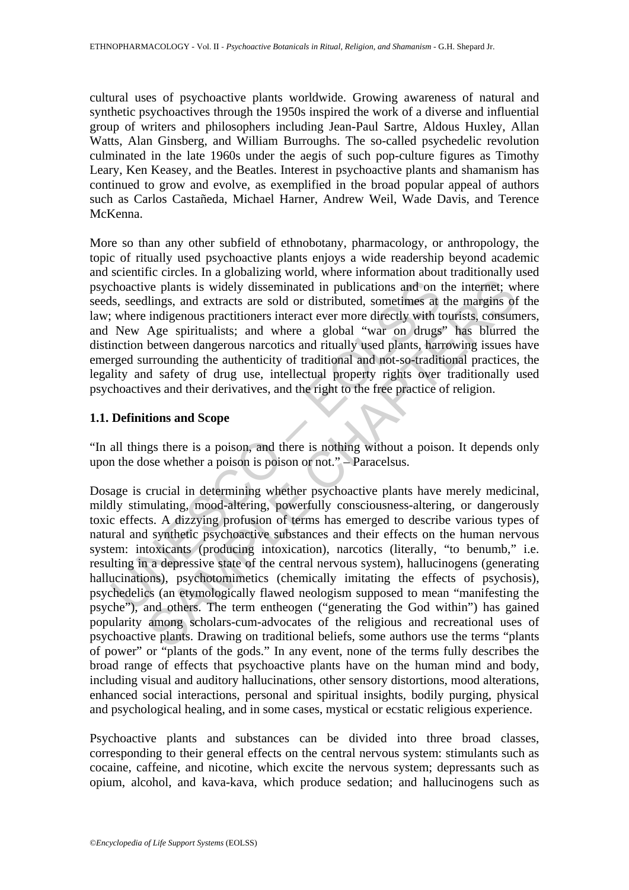cultural uses of psychoactive plants worldwide. Growing awareness of natural and synthetic psychoactives through the 1950s inspired the work of a diverse and influential group of writers and philosophers including Jean-Paul Sartre, Aldous Huxley, Allan Watts, Alan Ginsberg, and William Burroughs. The so-called psychedelic revolution culminated in the late 1960s under the aegis of such pop-culture figures as Timothy Leary, Ken Keasey, and the Beatles. Interest in psychoactive plants and shamanism has continued to grow and evolve, as exemplified in the broad popular appeal of authors such as Carlos Castañeda, Michael Harner, Andrew Weil, Wade Davis, and Terence McKenna.

More so than any other subfield of ethnobotany, pharmacology, or anthropology, the topic of ritually used psychoactive plants enjoys a wide readership beyond academic and scientific circles. In a globalizing world, where information about traditionally used psychoactive plants is widely disseminated in publications and on the internet; where seeds, seedlings, and extracts are sold or distributed, sometimes at the margins of the law; where indigenous practitioners interact ever more directly with tourists, consumers, and New Age spiritualists; and where a global "war on drugs" has blurred the distinction between dangerous narcotics and ritually used plants, harrowing issues have emerged surrounding the authenticity of traditional and not-so-traditional practices, the legality and safety of drug use, intellectual property rights over traditionally used psychoactives and their derivatives, and the right to the free practice of religion.

### **1.1. Definitions and Scope**

"In all things there is a poison, and there is nothing without a poison. It depends only upon the dose whether a poison is poison or not." – Paracelsus.

choactive plants is widely disseminated in publications and on t<br>sl, seedlings, and extracts are sold or distributed, sometimes at<br>vhere indigenous practitioners interact ever more directly with t<br>New Age spiritualists; an we plants is widely disseminated in publications and on the internet; we plants is widely disseminated in publications and on the internet; willings, and extracts are sold or distributed, sometimes at the margins of indige Dosage is crucial in determining whether psychoactive plants have merely medicinal, mildly stimulating, mood-altering, powerfully consciousness-altering, or dangerously toxic effects. A dizzying profusion of terms has emerged to describe various types of natural and synthetic psychoactive substances and their effects on the human nervous system: intoxicants (producing intoxication), narcotics (literally, "to benumb," i.e. resulting in a depressive state of the central nervous system), hallucinogens (generating hallucinations), psychotomimetics (chemically imitating the effects of psychosis), psychedelics (an etymologically flawed neologism supposed to mean "manifesting the psyche"), and others. The term entheogen ("generating the God within") has gained popularity among scholars-cum-advocates of the religious and recreational uses of psychoactive plants. Drawing on traditional beliefs, some authors use the terms "plants of power" or "plants of the gods." In any event, none of the terms fully describes the broad range of effects that psychoactive plants have on the human mind and body, including visual and auditory hallucinations, other sensory distortions, mood alterations, enhanced social interactions, personal and spiritual insights, bodily purging, physical and psychological healing, and in some cases, mystical or ecstatic religious experience.

Psychoactive plants and substances can be divided into three broad classes, corresponding to their general effects on the central nervous system: stimulants such as cocaine, caffeine, and nicotine, which excite the nervous system; depressants such as opium, alcohol, and kava-kava, which produce sedation; and hallucinogens such as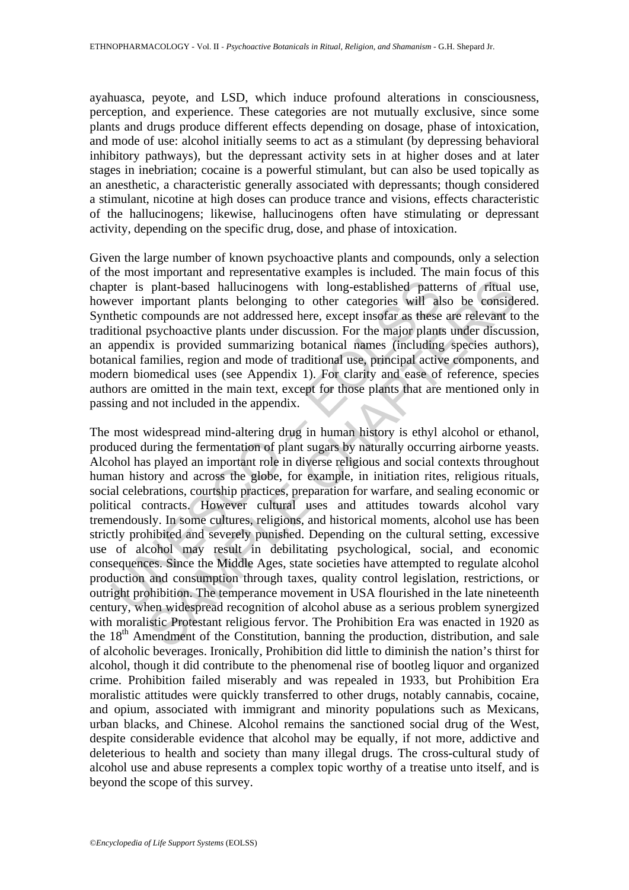ayahuasca, peyote, and LSD, which induce profound alterations in consciousness, perception, and experience. These categories are not mutually exclusive, since some plants and drugs produce different effects depending on dosage, phase of intoxication, and mode of use: alcohol initially seems to act as a stimulant (by depressing behavioral inhibitory pathways), but the depressant activity sets in at higher doses and at later stages in inebriation; cocaine is a powerful stimulant, but can also be used topically as an anesthetic, a characteristic generally associated with depressants; though considered a stimulant, nicotine at high doses can produce trance and visions, effects characteristic of the hallucinogens; likewise, hallucinogens often have stimulating or depressant activity, depending on the specific drug, dose, and phase of intoxication.

Given the large number of known psychoactive plants and compounds, only a selection of the most important and representative examples is included. The main focus of this chapter is plant-based hallucinogens with long-established patterns of ritual use, however important plants belonging to other categories will also be considered. Synthetic compounds are not addressed here, except insofar as these are relevant to the traditional psychoactive plants under discussion. For the major plants under discussion, an appendix is provided summarizing botanical names (including species authors), botanical families, region and mode of traditional use, principal active components, and modern biomedical uses (see Appendix 1). For clarity and ease of reference, species authors are omitted in the main text, except for those plants that are mentioned only in passing and not included in the appendix.

ther is plant-based hallucinogens with long-established pattet<br>ever important plants belonging to other categories will alt<br>thetic compounds are not addressed here, except insofar as these<br>titional psychoactive plants unde plant-based hallucinogens with long-established patterns of ritual mportant plants belonging to other categories will also be consider portompounds are not addressed here, except insofar as these are relevant to psychoacti The most widespread mind-altering drug in human history is ethyl alcohol or ethanol, produced during the fermentation of plant sugars by naturally occurring airborne yeasts. Alcohol has played an important role in diverse religious and social contexts throughout human history and across the globe, for example, in initiation rites, religious rituals, social celebrations, courtship practices, preparation for warfare, and sealing economic or political contracts. However cultural uses and attitudes towards alcohol vary tremendously. In some cultures, religions, and historical moments, alcohol use has been strictly prohibited and severely punished. Depending on the cultural setting, excessive use of alcohol may result in debilitating psychological, social, and economic consequences. Since the Middle Ages, state societies have attempted to regulate alcohol production and consumption through taxes, quality control legislation, restrictions, or outright prohibition. The temperance movement in USA flourished in the late nineteenth century, when widespread recognition of alcohol abuse as a serious problem synergized with moralistic Protestant religious fervor. The Prohibition Era was enacted in 1920 as the  $18<sup>th</sup>$  Amendment of the Constitution, banning the production, distribution, and sale of alcoholic beverages. Ironically, Prohibition did little to diminish the nation's thirst for alcohol, though it did contribute to the phenomenal rise of bootleg liquor and organized crime. Prohibition failed miserably and was repealed in 1933, but Prohibition Era moralistic attitudes were quickly transferred to other drugs, notably cannabis, cocaine, and opium, associated with immigrant and minority populations such as Mexicans, urban blacks, and Chinese. Alcohol remains the sanctioned social drug of the West, despite considerable evidence that alcohol may be equally, if not more, addictive and deleterious to health and society than many illegal drugs. The cross-cultural study of alcohol use and abuse represents a complex topic worthy of a treatise unto itself, and is beyond the scope of this survey.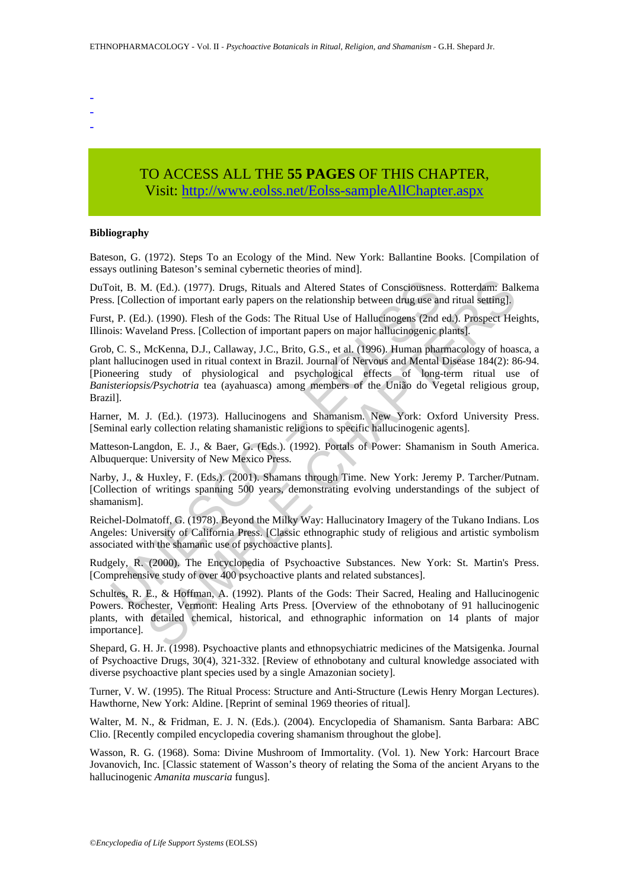- -
- -
- -

# TO ACCESS ALL THE **55 PAGES** OF THIS CHAPTER, Visit[: http://www.eolss.net/Eolss-sampleAllChapter.aspx](https://www.eolss.net/ebooklib/sc_cart.aspx?File=E6-79-18)

#### **Bibliography**

Bateson, G. (1972). Steps To an Ecology of the Mind. New York: Ballantine Books. [Compilation of essays outlining Bateson's seminal cybernetic theories of mind].

DuToit, B. M. (Ed.). (1977). Drugs, Rituals and Altered States of Consciousness. Rotterdam: Balkema Press. [Collection of important early papers on the relationship between drug use and ritual setting].

Furst, P. (Ed.). (1990). Flesh of the Gods: The Ritual Use of Hallucinogens (2nd ed.). Prospect Heights, Illinois: Waveland Press. [Collection of important papers on major hallucinogenic plants].

oit, B. M. (Ed.). (1977). Drugs, Rituals and Altered States of Consciousness. [Collection of important early papers on the relationship between drug use an t, P. (Ed.). (1990). Flesh of the Gods: The Ritual Use of Hallucin 4. (Ed.). (1977). Drugs, Rituals and Altered States of Consciousness. Rotterdam: Baltion of important early papers on the relationship between drug use and ritual setting].<br>
.). (1990). Flesh of the Gods: The Ritual Use of Grob, C. S., McKenna, D.J., Callaway, J.C., Brito, G.S., et al. (1996). Human pharmacology of hoasca, a plant hallucinogen used in ritual context in Brazil. Journal of Nervous and Mental Disease 184(2): 86-94. [Pioneering study of physiological and psychological effects of long-term ritual use of *Banisteriopsis/Psychotria* tea (ayahuasca) among members of the União do Vegetal religious group, Brazil].

Harner, M. J. (Ed.). (1973). Hallucinogens and Shamanism. New York: Oxford University Press. [Seminal early collection relating shamanistic religions to specific hallucinogenic agents].

Matteson-Langdon, E. J., & Baer, G. (Eds.). (1992). Portals of Power: Shamanism in South America. Albuquerque: University of New Mexico Press.

Narby, J., & Huxley, F. (Eds.). (2001). Shamans through Time. New York: Jeremy P. Tarcher/Putnam. [Collection of writings spanning 500 years, demonstrating evolving understandings of the subject of shamanism].

Reichel-Dolmatoff, G. (1978). Beyond the Milky Way: Hallucinatory Imagery of the Tukano Indians. Los Angeles: University of California Press. [Classic ethnographic study of religious and artistic symbolism associated with the shamanic use of psychoactive plants].

Rudgely, R. (2000). The Encyclopedia of Psychoactive Substances. New York: St. Martin's Press. [Comprehensive study of over 400 psychoactive plants and related substances].

Schultes, R. E., & Hoffman, A. (1992). Plants of the Gods: Their Sacred, Healing and Hallucinogenic Powers. Rochester, Vermont: Healing Arts Press. [Overview of the ethnobotany of 91 hallucinogenic plants, with detailed chemical, historical, and ethnographic information on 14 plants of major importance].

Shepard, G. H. Jr. (1998). Psychoactive plants and ethnopsychiatric medicines of the Matsigenka. Journal of Psychoactive Drugs, 30(4), 321-332. [Review of ethnobotany and cultural knowledge associated with diverse psychoactive plant species used by a single Amazonian society].

Turner, V. W. (1995). The Ritual Process: Structure and Anti-Structure (Lewis Henry Morgan Lectures). Hawthorne, New York: Aldine. [Reprint of seminal 1969 theories of ritual].

Walter, M. N., & Fridman, E. J. N. (Eds.). (2004). Encyclopedia of Shamanism. Santa Barbara: ABC Clio. [Recently compiled encyclopedia covering shamanism throughout the globe].

Wasson, R. G. (1968). Soma: Divine Mushroom of Immortality. (Vol. 1). New York: Harcourt Brace Jovanovich, Inc. [Classic statement of Wasson's theory of relating the Soma of the ancient Aryans to the hallucinogenic *Amanita muscaria* fungus].